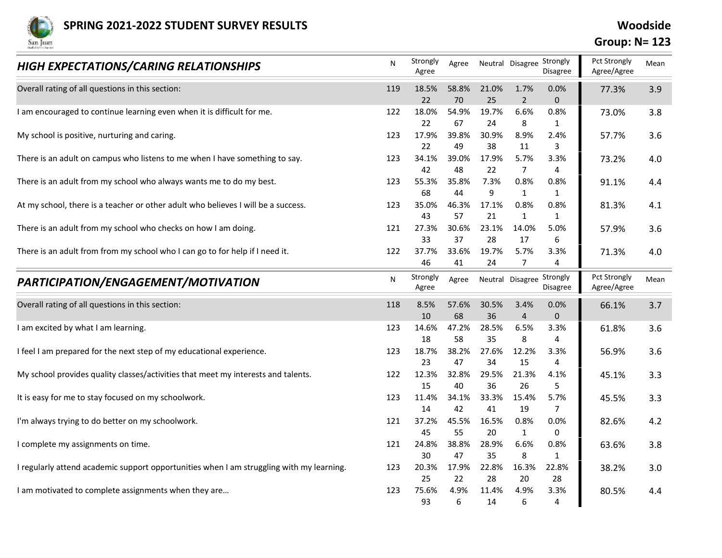

## Group: N= 123

| <b>SPRING 2021-2022 STUDENT SURVEY RESULTS</b>                                           |     |                   |             |                                 |                        |                                       | Woodside                             |      |  |
|------------------------------------------------------------------------------------------|-----|-------------------|-------------|---------------------------------|------------------------|---------------------------------------|--------------------------------------|------|--|
| San Juan<br>HIGH EXPECTATIONS/CARING RELATIONSHIPS                                       | N   | Strongly          |             | Agree Neutral Disagree Strongly |                        |                                       | <b>Group: N= 123</b><br>Pct Strongly | Mean |  |
|                                                                                          |     | Agree             |             |                                 |                        | Disagree                              | Agree/Agree                          |      |  |
| Overall rating of all questions in this section:                                         | 119 | 18.5%<br>22       | 58.8%<br>70 | 21.0%<br>25                     | 1.7%<br>$\overline{2}$ | 0.0%<br>$\mathbf{0}$                  | 77.3%                                | 3.9  |  |
| I am encouraged to continue learning even when it is difficult for me.                   | 122 | 18.0%             | 54.9%       | 19.7%                           | 6.6%                   | 0.8%                                  | 73.0%                                | 3.8  |  |
| My school is positive, nurturing and caring.                                             | 123 | 22<br>17.9%       | 67<br>39.8% | 24<br>30.9%                     | 8<br>8.9%              | 1<br>2.4%                             | 57.7%                                | 3.6  |  |
|                                                                                          |     | 22                | 49          | 38                              | 11                     | $\overline{3}$                        |                                      |      |  |
| There is an adult on campus who listens to me when I have something to say.              | 123 | 34.1%<br>42       | 39.0%<br>48 | 17.9%<br>22                     | 5.7%<br>$\overline{7}$ | 3.3%<br>$\overline{4}$                | 73.2%                                | 4.0  |  |
| There is an adult from my school who always wants me to do my best.                      | 123 | 55.3%             | 35.8%       | 7.3%                            | 0.8%                   | 0.8%                                  | 91.1%                                | 4.4  |  |
| At my school, there is a teacher or other adult who believes I will be a success.        | 123 | 68<br>35.0%       | 44<br>46.3% | 9<br>17.1%                      | $\mathbf{1}$<br>0.8%   | $\mathbf{1}$<br>0.8%                  | 81.3%                                | 4.1  |  |
|                                                                                          |     | 43                | 57          | 21                              | 1                      | 1                                     |                                      |      |  |
| There is an adult from my school who checks on how I am doing.                           | 121 | 27.3%             | 30.6%       | 23.1%                           | 14.0%                  | 5.0%                                  | 57.9%                                | 3.6  |  |
| There is an adult from from my school who I can go to for help if I need it.             | 122 | 33<br>37.7%       | 37<br>33.6% | 28<br>19.7%                     | 17<br>5.7%             | 6<br>3.3%                             | 71.3%                                | 4.0  |  |
|                                                                                          |     | 46                | 41          | 24                              | 7                      | $\overline{4}$                        |                                      |      |  |
| PARTICIPATION/ENGAGEMENT/MOTIVATION                                                      | N   | Strongly<br>Agree | Agree       |                                 |                        | Neutral Disagree Strongly<br>Disagree | Pct Strongly<br>Agree/Agree          | Mean |  |
| Overall rating of all questions in this section:                                         | 118 | 8.5%              | 57.6%       | 30.5%                           | 3.4%                   | 0.0%                                  | 66.1%                                | 3.7  |  |
| I am excited by what I am learning.                                                      | 123 | 10<br>14.6%       | 68<br>47.2% | 36<br>28.5%                     | 4<br>6.5%              | $\mathbf 0$<br>3.3%                   | 61.8%                                | 3.6  |  |
|                                                                                          |     | 18                | 58          | 35                              | 8                      | $\overline{4}$                        |                                      |      |  |
| I feel I am prepared for the next step of my educational experience.                     | 123 | 18.7%<br>23       | 38.2%<br>47 | 27.6%<br>34                     | 12.2%<br>15            | 3.3%<br>$\overline{4}$                | 56.9%                                | 3.6  |  |
| My school provides quality classes/activities that meet my interests and talents.        | 122 | 12.3%             | 32.8%       | 29.5%                           | 21.3%                  | 4.1%                                  | 45.1%                                | 3.3  |  |
| It is easy for me to stay focused on my schoolwork.                                      | 123 | 15<br>11.4%       | 40<br>34.1% | 36<br>33.3%                     | 26<br>15.4%            | 5<br>5.7%                             | 45.5%                                | 3.3  |  |
|                                                                                          |     | 14                | 42          | 41                              | 19                     | $\overline{7}$                        |                                      |      |  |
| I'm always trying to do better on my schoolwork.                                         | 121 | 37.2%             | 45.5%       | 16.5%                           | 0.8%                   | 0.0%                                  | 82.6%                                | 4.2  |  |
| I complete my assignments on time.                                                       | 121 | 45<br>24.8%       | 55<br>38.8% | 20<br>28.9%                     | 1<br>6.6%              | 0<br>0.8%                             | 63.6%                                | 3.8  |  |
|                                                                                          |     | 30                | 47          | 35                              | 8                      | $\mathbf{1}$                          |                                      |      |  |
| I regularly attend academic support opportunities when I am struggling with my learning. | 123 | 20.3%<br>25       | 17.9%<br>22 | 22.8%<br>28                     | 16.3%<br>20            | 22.8%<br>28                           | 38.2%                                | 3.0  |  |
| I am motivated to complete assignments when they are                                     | 123 | 75.6%             | 4.9%        | 11.4%                           | 4.9%                   | 3.3%                                  | 80.5%                                | 4.4  |  |
|                                                                                          |     | 93                | 6           | 14                              | 6                      |                                       |                                      |      |  |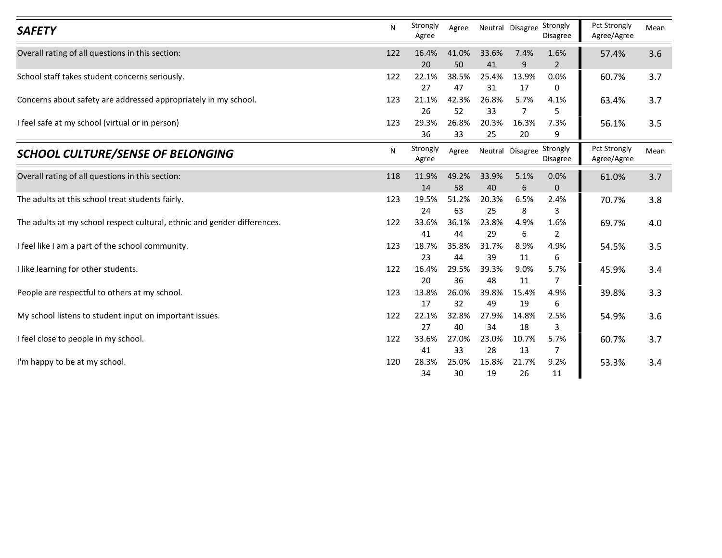| <b>SAFETY</b>                                                            | N   | Strongly<br>Agree | Agree       | Neutral Disagree Strongly |                      | Disagree                              | Pct Strongly<br>Agree/Agree | Mean |
|--------------------------------------------------------------------------|-----|-------------------|-------------|---------------------------|----------------------|---------------------------------------|-----------------------------|------|
| Overall rating of all questions in this section:                         | 122 | 16.4%<br>20       | 41.0%<br>50 | 33.6%<br>41               | 7.4%<br>$\mathbf{q}$ | 1.6%<br>$\overline{2}$                | 57.4%                       | 3.6  |
| School staff takes student concerns seriously.                           | 122 | 22.1%             | 38.5%       | 25.4%                     | 13.9%                | 0.0%                                  | 60.7%                       | 3.7  |
|                                                                          |     | 27                | 47          | 31                        | 17                   | 0                                     |                             |      |
| Concerns about safety are addressed appropriately in my school.          | 123 | 21.1%             | 42.3%       | 26.8%                     | 5.7%<br>7            | 4.1%                                  | 63.4%                       | 3.7  |
| I feel safe at my school (virtual or in person)                          | 123 | 26<br>29.3%       | 52<br>26.8% | 33<br>20.3%               | 16.3%                | 5<br>7.3%                             | 56.1%                       | 3.5  |
|                                                                          |     | 36                | 33          | 25                        | 20                   | 9                                     |                             |      |
| <b>SCHOOL CULTURE/SENSE OF BELONGING</b>                                 | N   | Strongly<br>Agree | Agree       |                           |                      | Neutral Disagree Strongly<br>Disagree | Pct Strongly<br>Agree/Agree | Mean |
| Overall rating of all questions in this section:                         | 118 | 11.9%<br>14       | 49.2%<br>58 | 33.9%<br>40               | 5.1%<br>6            | 0.0%<br>$\mathbf{0}$                  | 61.0%                       | 3.7  |
| The adults at this school treat students fairly.                         | 123 | 19.5%             | 51.2%       | 20.3%                     | 6.5%                 | 2.4%                                  | 70.7%                       | 3.8  |
|                                                                          |     | 24                | 63          | 25                        | 8                    | 3                                     |                             |      |
| The adults at my school respect cultural, ethnic and gender differences. | 122 | 33.6%             | 36.1%       | 23.8%                     | 4.9%                 | 1.6%                                  | 69.7%                       | 4.0  |
| I feel like I am a part of the school community.                         | 123 | 41<br>18.7%       | 44<br>35.8% | 29<br>31.7%               | 6<br>8.9%            | $\overline{2}$<br>4.9%                | 54.5%                       | 3.5  |
|                                                                          |     | 23                | 44          | 39                        | 11                   | 6                                     |                             |      |
| I like learning for other students.                                      | 122 | 16.4%             | 29.5%       | 39.3%                     | 9.0%                 | 5.7%                                  | 45.9%                       | 3.4  |
|                                                                          | 123 | 20<br>13.8%       | 36          | 48                        | 11<br>15.4%          | 7                                     |                             |      |
| People are respectful to others at my school.                            |     | 17                | 26.0%<br>32 | 39.8%<br>49               | 19                   | 4.9%<br>6                             | 39.8%                       | 3.3  |
| My school listens to student input on important issues.                  | 122 | 22.1%             | 32.8%       | 27.9%                     | 14.8%                | 2.5%                                  | 54.9%                       | 3.6  |
|                                                                          |     | 27                | 40          | 34                        | 18                   | 3                                     |                             |      |
| I feel close to people in my school.                                     | 122 | 33.6%<br>41       | 27.0%<br>33 | 23.0%<br>28               | 10.7%<br>13          | 5.7%<br>$\overline{7}$                | 60.7%                       | 3.7  |
|                                                                          |     | 28.3%             | 25.0%       | 15.8%                     | 21.7%                | 9.2%                                  | 53.3%                       | 3.4  |
| I'm happy to be at my school.                                            | 120 |                   |             |                           |                      |                                       |                             |      |